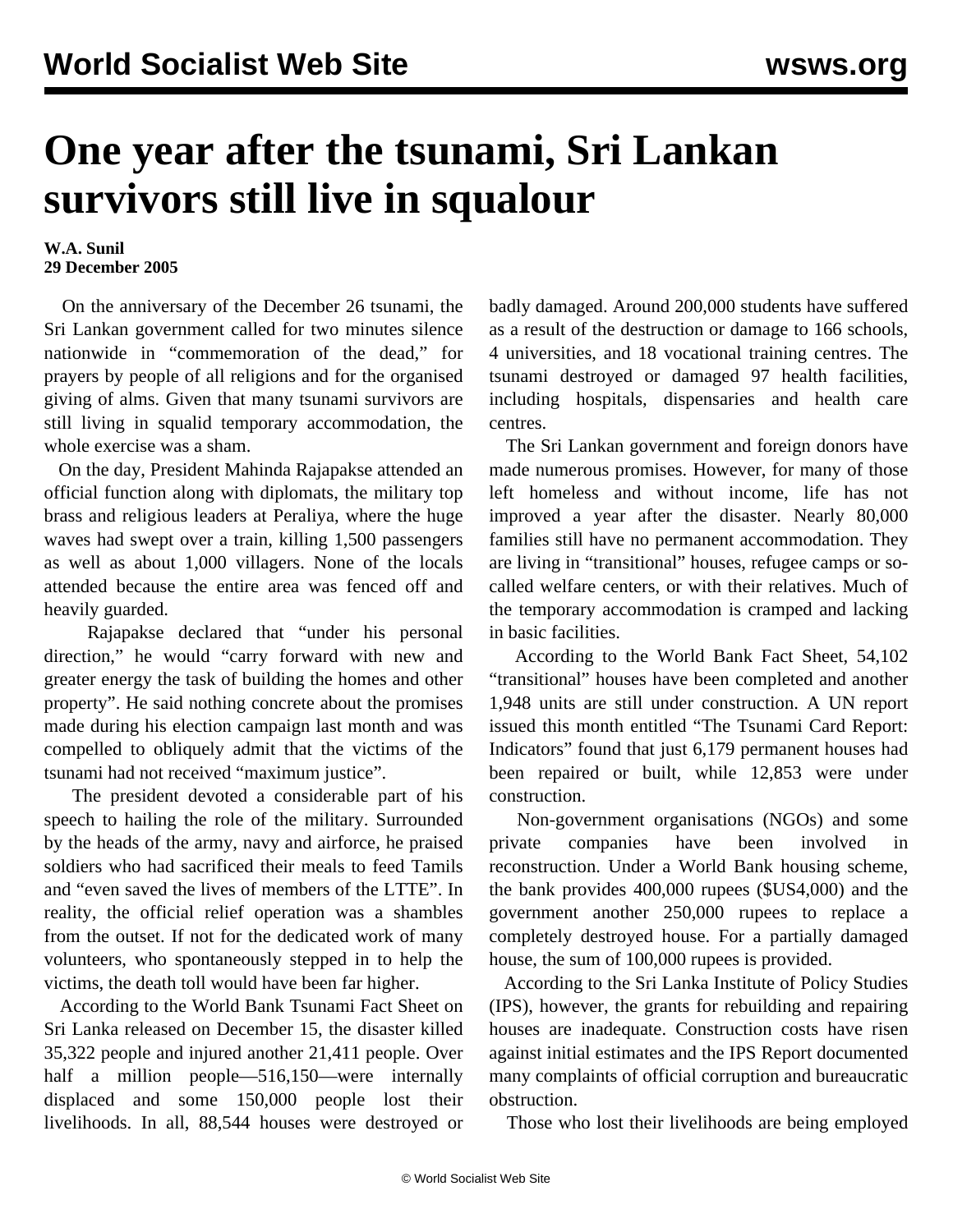## **One year after the tsunami, Sri Lankan survivors still live in squalour**

## **W.A. Sunil 29 December 2005**

 On the anniversary of the December 26 tsunami, the Sri Lankan government called for two minutes silence nationwide in "commemoration of the dead," for prayers by people of all religions and for the organised giving of alms. Given that many tsunami survivors are still living in squalid temporary accommodation, the whole exercise was a sham.

 On the day, President Mahinda Rajapakse attended an official function along with diplomats, the military top brass and religious leaders at Peraliya, where the huge waves had swept over a train, killing 1,500 passengers as well as about 1,000 villagers. None of the locals attended because the entire area was fenced off and heavily guarded.

 Rajapakse declared that "under his personal direction," he would "carry forward with new and greater energy the task of building the homes and other property". He said nothing concrete about the promises made during his election campaign last month and was compelled to obliquely admit that the victims of the tsunami had not received "maximum justice".

 The president devoted a considerable part of his speech to hailing the role of the military. Surrounded by the heads of the army, navy and airforce, he praised soldiers who had sacrificed their meals to feed Tamils and "even saved the lives of members of the LTTE". In reality, the official relief operation was a shambles from the outset. If not for the dedicated work of many volunteers, who spontaneously stepped in to help the victims, the death toll would have been far higher.

 According to the World Bank Tsunami Fact Sheet on Sri Lanka released on December 15, the disaster killed 35,322 people and injured another 21,411 people. Over half a million people—516,150—were internally displaced and some 150,000 people lost their livelihoods. In all, 88,544 houses were destroyed or

badly damaged. Around 200,000 students have suffered as a result of the destruction or damage to 166 schools, 4 universities, and 18 vocational training centres. The tsunami destroyed or damaged 97 health facilities, including hospitals, dispensaries and health care centres.

 The Sri Lankan government and foreign donors have made numerous promises. However, for many of those left homeless and without income, life has not improved a year after the disaster. Nearly 80,000 families still have no permanent accommodation. They are living in "transitional" houses, refugee camps or socalled welfare centers, or with their relatives. Much of the temporary accommodation is cramped and lacking in basic facilities.

 According to the World Bank Fact Sheet, 54,102 "transitional" houses have been completed and another 1,948 units are still under construction. A UN report issued this month entitled "The Tsunami Card Report: Indicators" found that just 6,179 permanent houses had been repaired or built, while 12,853 were under construction.

 Non-government organisations (NGOs) and some private companies have been involved in reconstruction. Under a World Bank housing scheme, the bank provides 400,000 rupees (\$US4,000) and the government another 250,000 rupees to replace a completely destroyed house. For a partially damaged house, the sum of 100,000 rupees is provided.

 According to the Sri Lanka Institute of Policy Studies (IPS), however, the grants for rebuilding and repairing houses are inadequate. Construction costs have risen against initial estimates and the IPS Report documented many complaints of official corruption and bureaucratic obstruction.

Those who lost their livelihoods are being employed